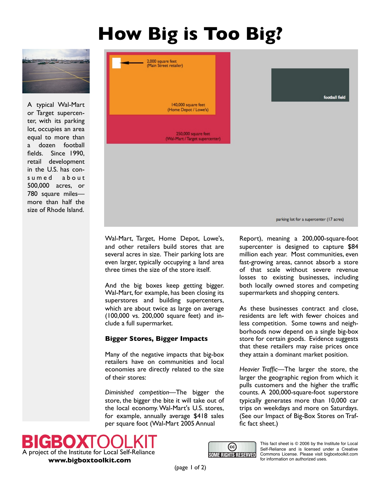## **How Big is Too Big?**



A typical Wal-Mart or Target supercenter, with its parking lot, occupies an area equal to more than a dozen football fields. Since 1990, retail development in the U.S. has consumed about 500,000 acres, or 780 square miles more than half the size of Rhode Island.



Wal-Mart, Target, Home Depot, Lowe's, and other retailers build stores that are several acres in size. Their parking lots are even larger, typically occupying a land area three times the size of the store itself.

And the big boxes keep getting bigger. Wal-Mart, for example, has been closing its superstores and building supercenters, which are about twice as large on average (100,000 vs. 200,000 square feet) and include a full supermarket.

## **Bigger Stores, Bigger Impacts**

Many of the negative impacts that big-box retailers have on communities and local economies are directly related to the size of their stores:

*Diminished competition*—The bigger the store, the bigger the bite it will take out of the local economy.Wal-Mart's U.S. stores, for example, annually average \$418 sales per square foot (Wal-Mart 2005 Annual

Report), meaning a 200,000-square-foot supercenter is designed to capture \$84 million each year. Most communities, even fast-growing areas, cannot absorb a store of that scale without severe revenue losses to existing businesses, including both locally owned stores and competing supermarkets and shopping centers.

As these businesses contract and close, residents are left with fewer choices and less competition. Some towns and neighborhoods now depend on a single big-box store for certain goods. Evidence suggests that these retailers may raise prices once they attain a dominant market position.

*Heavier Traffic*—The larger the store, the larger the geographic region from which it pulls customers and the higher the traffic counts. A 200,000-square-foot superstore typically generates more than 10,000 car trips on weekdays and more on Saturdays. (See our Impact of Big-Box Stores on Traffic fact sheet.)





This fact sheet is © 2006 by the Institute for Local Self-Reliance and is licensed under a Creative Commons License. Please visit bigboxtoolkit.com for information on authorized uses.